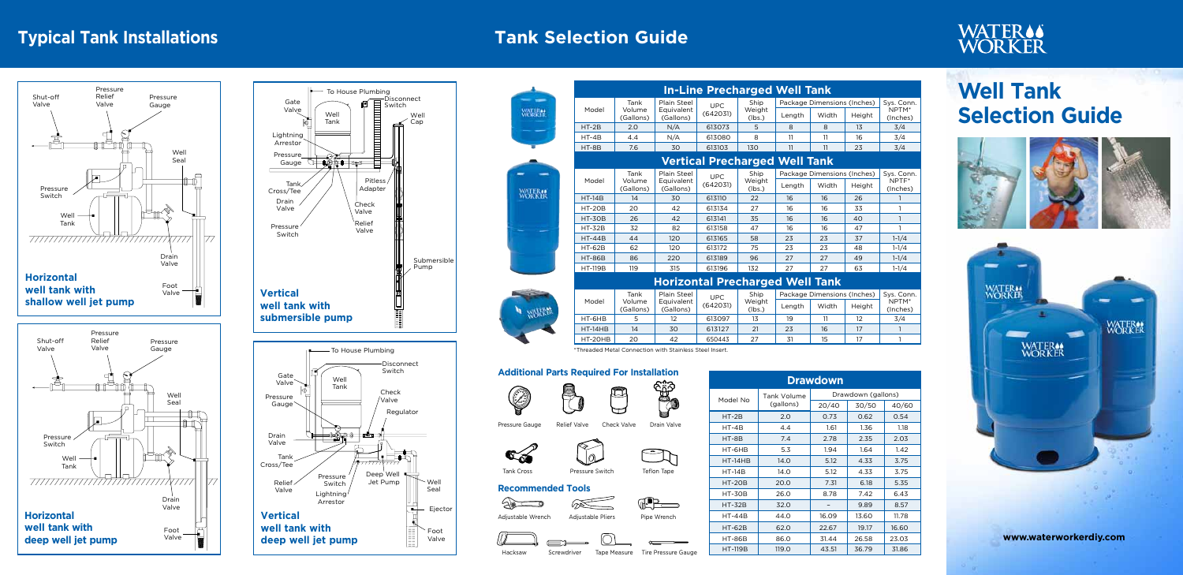**www.waterworkerdiy.com**







## **Typical Tank Installations Tank Selection Guide**

# **Well Tank Selection Guide**









| wdown (gallons)<br>30/50<br>40/60 |       |       |  |  |  |
|-----------------------------------|-------|-------|--|--|--|
|                                   |       |       |  |  |  |
|                                   | 0.62  | 0.54  |  |  |  |
|                                   | 1.36  | 1.18  |  |  |  |
|                                   | 2.35  | 2.03  |  |  |  |
|                                   | 1.64  | 1.42  |  |  |  |
|                                   | 4.33  | 3.75  |  |  |  |
|                                   | 4.33  | 3.75  |  |  |  |
|                                   | 6.18  | 5.35  |  |  |  |
|                                   | 7.42  | 6.43  |  |  |  |
|                                   | 9.89  | 8.57  |  |  |  |
|                                   | 13.60 | 11.78 |  |  |  |
|                                   | 19.17 | 16.60 |  |  |  |
|                                   | 26.58 | 23.03 |  |  |  |
|                                   | 36.79 | 31.86 |  |  |  |

### **Additional Parts Required For Installation**



概錄



## **Recommended Tools**

Pressure Gauge Relief Valve Check Valve Drain Valve



 $\overline{\mathcal{P}}$ 

Tank Cross **Pressure Switch** Teflon Tape



 $\varpi$ 



**THE** 









|         | ة <del>ڪ</del> ا |                                  |
|---------|------------------|----------------------------------|
| Hacksaw | Screwdriver      | Tape Measure Tire Pressure Gauge |

| <b>In-Line Precharged Well Tank</b>  |                                                                          |                           |                              |                  |                             |            |        |                     |
|--------------------------------------|--------------------------------------------------------------------------|---------------------------|------------------------------|------------------|-----------------------------|------------|--------|---------------------|
| Model                                | Tank<br>Volume                                                           | Plain Steel<br>Equivalent | Ship<br><b>UPC</b><br>Weight |                  | Package Dimensions (Inches) |            |        | Sys. Conn.<br>NPTM* |
|                                      | (Gallons)                                                                | (Gallons)                 | (642031)                     | (lbs.)           | Length                      | Width      | Height | (Inches)            |
| $HT-2B$                              | 2.0                                                                      | N/A                       | 613073                       | 5                | 8                           | 8          | 13     | 3/4                 |
| $HT-4B$                              | 4.4                                                                      | N/A                       | 613080                       | 8                | 11                          | 11         | 16     | 3/4                 |
| HT-8B                                | 7.6                                                                      | 30                        | 613103                       | 130              | 11                          | 11         | 23     | 3/4                 |
| <b>Vertical Precharged Well Tank</b> |                                                                          |                           |                              |                  |                             |            |        |                     |
|                                      | Plain Steel<br>Ship<br>Package Dimensions (Inches)<br>Tank<br><b>UPC</b> |                           |                              |                  |                             | Sys. Conn. |        |                     |
| Model                                | Volume<br>(Gallons)                                                      | Equivalent<br>(Gallons)   | (642031)                     | Weight<br>(lbs.) | Length                      | Width      | Height | NPTF*<br>(Inches)   |
| $HT-14B$                             | 14                                                                       | 30                        | 613110                       | 22               | 16                          | 16         | 26     |                     |
| <b>HT-20B</b>                        | 20                                                                       | 42                        | 613134                       | 27               | 16                          | 16         | 33     | 1                   |
| <b>HT-30B</b>                        | 26                                                                       | 42                        | 613141                       | 35               | 16                          | 16         | 40     | 1                   |
| <b>HT-32B</b>                        | 32                                                                       | 82                        | 613158                       | 47               | 16                          | 16         | 47     | 1                   |
| $HT-44B$                             | 44                                                                       | 120                       | 613165                       | 58               | 23                          | 23         | 37     | $1 - 1/4$           |
| <b>HT-62B</b>                        | 62                                                                       | 120                       | 613172                       | 75               | 23                          | 23         | 48     | $1 - 1/4$           |
| <b>HT-86B</b>                        | 86                                                                       | 220                       | 613189                       | 96               | 27                          | 27         | 49     | $1 - 1/4$           |
| <b>HT-119B</b>                       | 119                                                                      | 315                       | 613196                       | 132              | 27                          | 27         | 63     | $1 - 1/4$           |

## **Horizontal Precharged Well Tank**

|           | Tank<br>Volume<br>(Gallons) | Plain Steel             | <b>UPC</b><br>(642031) | Ship<br>Weight<br>(lbs.) | Package Dimensions (Inches) |       |        | Sys. Conn.        |
|-----------|-----------------------------|-------------------------|------------------------|--------------------------|-----------------------------|-------|--------|-------------------|
| Model     |                             | Equivalent<br>(Gallons) |                        |                          | Length                      | Width | Height | NPTM*<br>(Inches) |
| HT-6HB    | 5                           | 12                      | 613097                 | 13                       | 19                          |       | 12     | 3/4               |
| $HT-14HB$ | 14                          | 30                      | 613127                 | 21                       | 23                          | 16    | 17     |                   |
| HT-20HB   | 20                          | 42                      | 650443                 | 27                       | 31                          | 15    | 17     |                   |

\*Threaded Metal Connection with Stainless Steel Insert.